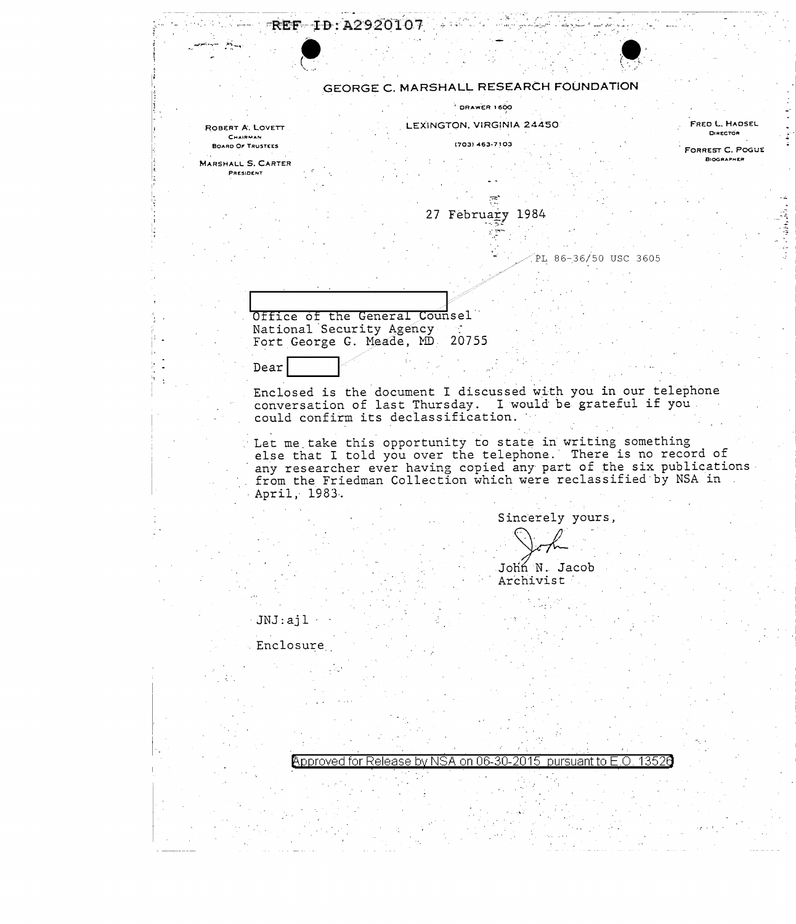| REF ID: A2920107                       |                           |                                                                                                                                      |                                              |
|----------------------------------------|---------------------------|--------------------------------------------------------------------------------------------------------------------------------------|----------------------------------------------|
|                                        |                           |                                                                                                                                      |                                              |
|                                        |                           |                                                                                                                                      |                                              |
|                                        |                           | GEORGE C. MARSHALL RESEARCH FOUNDATION                                                                                               |                                              |
|                                        | DRAWER 1600               |                                                                                                                                      |                                              |
| ROBERT A. LOVETT<br>CHAIRMAN           | LEXINGTON, VIRGINIA 24450 |                                                                                                                                      | FRED L. HADSEL<br>DIRECTOR                   |
| <b>BOARD OF TRUSTEES</b>               | (703) 463-7103            |                                                                                                                                      | <b>FORREST C. POGUE</b><br><b>BIOGRAPHER</b> |
| <b>MARSHALL S. CARTER</b><br>PRESIDENT |                           |                                                                                                                                      |                                              |
|                                        |                           |                                                                                                                                      |                                              |
|                                        | 27 February 1984          |                                                                                                                                      |                                              |
|                                        |                           |                                                                                                                                      |                                              |
|                                        |                           | PL 86-36/50 USC 3605                                                                                                                 |                                              |
|                                        |                           |                                                                                                                                      |                                              |
|                                        |                           |                                                                                                                                      |                                              |
| Office of the General Counsel          |                           |                                                                                                                                      |                                              |
| National Security Agency               |                           |                                                                                                                                      |                                              |
| Fort George G. Meade, MD 20755         |                           |                                                                                                                                      |                                              |
| Dear                                   |                           |                                                                                                                                      |                                              |
|                                        |                           | Enclosed is the document I discussed with you in our telephone                                                                       |                                              |
| could confirm its declassification.    |                           | conversation of last Thursday. I would be grateful if you.                                                                           |                                              |
|                                        |                           |                                                                                                                                      |                                              |
|                                        |                           | Let me take this opportunity to state in writing something<br>else that I told you over the telephone. There is no record of         |                                              |
|                                        |                           | any researcher ever having copied any part of the six publications<br>from the Friedman Collection which were reclassified by NSA in |                                              |
| April, 1983.                           |                           |                                                                                                                                      |                                              |
|                                        |                           | Sincerely yours,                                                                                                                     |                                              |
|                                        |                           |                                                                                                                                      |                                              |
|                                        |                           |                                                                                                                                      |                                              |
|                                        |                           | John N. Jacob<br>Archivist                                                                                                           |                                              |
|                                        |                           |                                                                                                                                      |                                              |
| JNJ:aj1                                |                           |                                                                                                                                      |                                              |
| Enclosure                              |                           |                                                                                                                                      |                                              |
|                                        |                           |                                                                                                                                      |                                              |
|                                        |                           |                                                                                                                                      |                                              |
|                                        |                           |                                                                                                                                      |                                              |
|                                        |                           |                                                                                                                                      |                                              |
|                                        |                           |                                                                                                                                      |                                              |
|                                        |                           | Approved for Release by NSA on 06-30-2015 pursuant to E.O. 13526                                                                     |                                              |
|                                        |                           |                                                                                                                                      |                                              |
|                                        |                           |                                                                                                                                      |                                              |
|                                        |                           |                                                                                                                                      |                                              |
|                                        |                           |                                                                                                                                      |                                              |

i in

 $\sim$